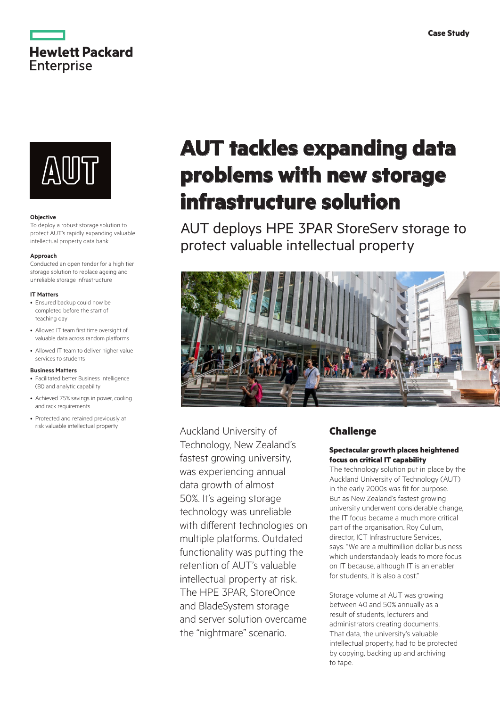



## **Objective**

To deploy a robust storage solution to protect AUT's rapidly expanding valuable intellectual property data bank

### **Approach**

Conducted an open tender for a high tier storage solution to replace ageing and unreliable storage infrastructure

#### **IT Matters**

- Ensured backup could now be completed before the start of teaching day
- Allowed IT team first time oversight of valuable data across random platforms
- Allowed IT team to deliver higher value services to students

## **Business Matters**

- Facilitated better Business Intelligence (BI) and analytic capability
- Achieved 75% savings in power, cooling and rack requirements
- Protected and retained previously at risk valuable intellectual property

# **AUT tackles expanding data problems with new storage infrastructure solution**

AUT deploys HPE 3PAR StoreServ storage to protect valuable intellectual property



Auckland University of Technology, New Zealand's fastest growing university, was experiencing annual data growth of almost 50%. It's ageing storage technology was unreliable with different technologies on multiple platforms. Outdated functionality was putting the retention of AUT's valuable intellectual property at risk. The HPE 3PAR, StoreOnce and BladeSystem storage and server solution overcame the "nightmare" scenario.

# **Challenge**

## **Spectacular growth places heightened focus on critical IT capability**

The technology solution put in place by the Auckland University of Technology (AUT) in the early 2000s was fit for purpose. But as New Zealand's fastest growing university underwent considerable change, the IT focus became a much more critical part of the organisation. Roy Cullum, director, ICT Infrastructure Services, says: "We are a multimillion dollar business which understandably leads to more focus on IT because, although IT is an enabler for students, it is also a cost."

Storage volume at AUT was growing between 40 and 50% annually as a result of students, lecturers and administrators creating documents. That data, the university's valuable intellectual property, had to be protected by copying, backing up and archiving to tape.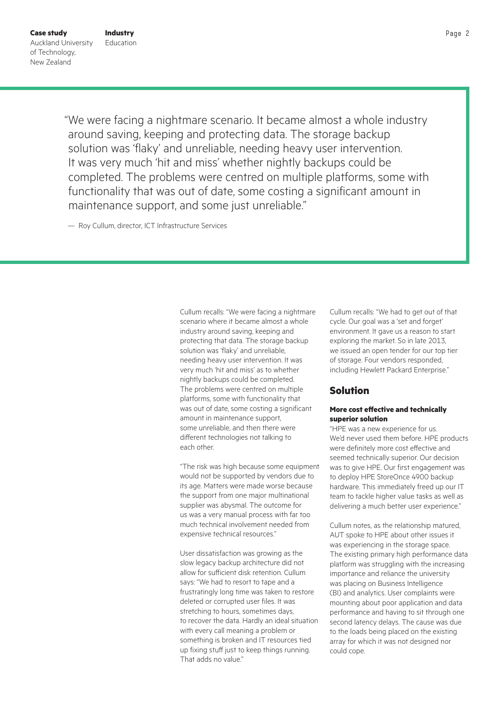"We were facing a nightmare scenario. It became almost a whole industry around saving, keeping and protecting data. The storage backup solution was 'flaky' and unreliable, needing heavy user intervention. It was very much 'hit and miss' whether nightly backups could be completed. The problems were centred on multiple platforms, some with functionality that was out of date, some costing a significant amount in maintenance support, and some just unreliable."

— Roy Cullum, director, ICT Infrastructure Services

Cullum recalls: "We were facing a nightmare scenario where it became almost a whole industry around saving, keeping and protecting that data. The storage backup solution was 'flaky' and unreliable, needing heavy user intervention. It was very much 'hit and miss' as to whether nightly backups could be completed. The problems were centred on multiple platforms, some with functionality that was out of date, some costing a significant amount in maintenance support, some unreliable, and then there were different technologies not talking to each other.

"The risk was high because some equipment would not be supported by vendors due to its age. Matters were made worse because the support from one major multinational supplier was abysmal. The outcome for us was a very manual process with far too much technical involvement needed from expensive technical resources."

User dissatisfaction was growing as the slow legacy backup architecture did not allow for sufficient disk retention. Cullum says: "We had to resort to tape and a frustratingly long time was taken to restore deleted or corrupted user files. It was stretching to hours, sometimes days, to recover the data. Hardly an ideal situation with every call meaning a problem or something is broken and IT resources tied up fixing stuff just to keep things running. That adds no value."

Cullum recalls: "We had to get out of that cycle. Our goal was a 'set and forget' environment. It gave us a reason to start exploring the market. So in late 2013, we issued an open tender for our top tier of storage. Four vendors responded, including Hewlett Packard Enterprise."

# **Solution**

## **More cost effective and technically superior solution**

"HPE was a new experience for us. We'd never used them before. HPE products were definitely more cost effective and seemed technically superior. Our decision was to give HPE. Our first engagement was to deploy HPE StoreOnce 4900 backup hardware. This immediately freed up our IT team to tackle higher value tasks as well as delivering a much better user experience."

Cullum notes, as the relationship matured, AUT spoke to HPE about other issues it was experiencing in the storage space. The existing primary high performance data platform was struggling with the increasing importance and reliance the university was placing on Business Intelligence (BI) and analytics. User complaints were mounting about poor application and data performance and having to sit through one second latency delays. The cause was due to the loads being placed on the existing array for which it was not designed nor could cope.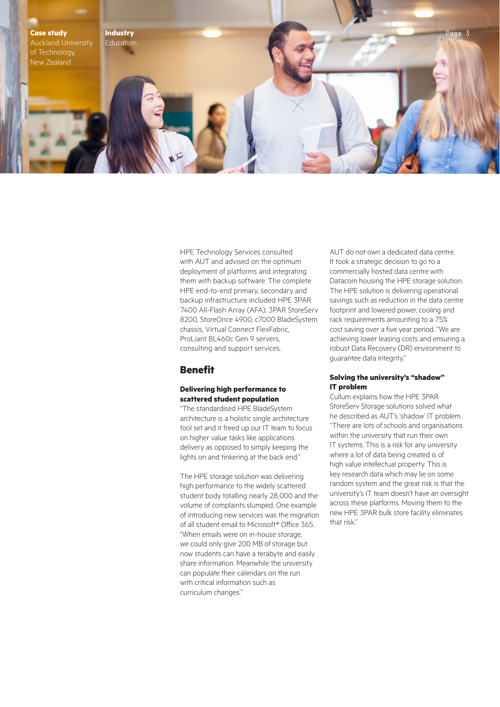

HPE Technology Services consulted with AUT and advised on the optimum deployment of platforms and integrating them with backup software. The complete HPE end-to-end primary, secondary and backup infrastructure included HPE 3PAR 7400 All-Flash Array (AFA), 3PAR StoreServ 8200, StoreOnce 4900, c7000 BladeSystem chassis, Virtual Connect FlexFabric, ProLiant BL460c Gen 9 servers, consulting and support services.

# **Benefit**

## **Delivering high performance to scattered student population**

"The standardised HPE BladeSystem architecture is a holistic single architecture tool set and it freed up our IT team to focus on higher value tasks like applications delivery as opposed to simply keeping the lights on and tinkering at the back end."

The HPE storage solution was delivering high performance to the widely scattered student body totalling nearly 28,000 and the volume of complaints slumped. One example of introducing new services was the migration of all student email to Microsoft® Office 365. "When emails were on in-house storage, we could only give 200 MB of storage but now students can have a terabyte and easily share information. Meanwhile the university can populate their calendars on the run with critical information such as curriculum changes."

AUT do not own a dedicated data centre. It took a strategic decision to go to a commercially hosted data centre with Datacom housing the HPE storage solution. The HPE solution is delivering operational savings such as reduction in the data centre footprint and lowered power, cooling and rack requirements amounting to a 75% cost saving over a five year period. "We are achieving lower leasing costs and ensuring a robust Data Recovery (DR) environment to guarantee data integrity."

## **Solving the university's "shadow" IT problem**

Cullum explains how the HPE 3PAR StoreServ Storage solutions solved what he described as AUT's 'shadow' IT problem. "There are lots of schools and organisations within the university that run their own IT systems. This is a risk for any university where a lot of data being created is of high value intellectual property. This is key research data which may lie on some random system and the great risk is that the university's IT team doesn't have an oversight across these platforms. Moving them to the new HPE 3PAR bulk store facility eliminates that risk."